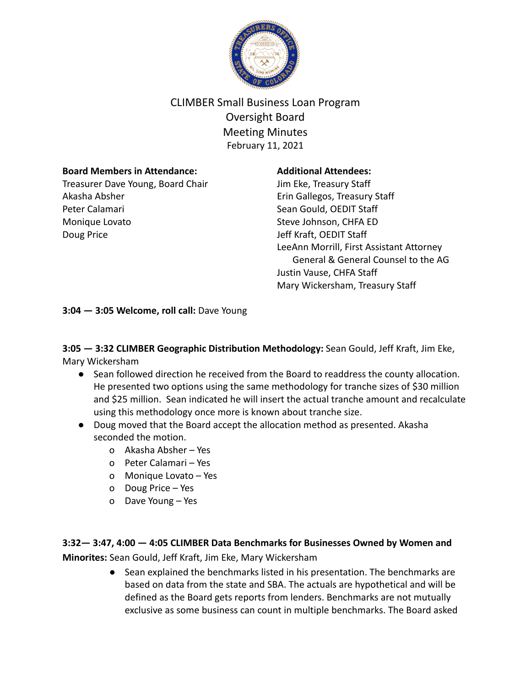

# CLIMBER Small Business Loan Program Oversight Board Meeting Minutes February 11, 2021

#### **Board Members in Attendance:**

Treasurer Dave Young, Board Chair Akasha Absher Peter Calamari Monique Lovato Doug Price

#### **Additional Attendees:**

Jim Eke, Treasury Staff Erin Gallegos, Treasury Staff Sean Gould, OEDIT Staff Steve Johnson, CHFA ED Jeff Kraft, OEDIT Staff LeeAnn Morrill, First Assistant Attorney General & General Counsel to the AG Justin Vause, CHFA Staff Mary Wickersham, Treasury Staff

**3:04 — 3:05 Welcome, roll call:** Dave Young

**3:05 — 3:32 CLIMBER Geographic Distribution Methodology:** Sean Gould, Jeff Kraft, Jim Eke, Mary Wickersham

- Sean followed direction he received from the Board to readdress the county allocation. He presented two options using the same methodology for tranche sizes of \$30 million and \$25 million. Sean indicated he will insert the actual tranche amount and recalculate using this methodology once more is known about tranche size.
- Doug moved that the Board accept the allocation method as presented. Akasha seconded the motion.
	- o Akasha Absher Yes
	- o Peter Calamari Yes
	- o Monique Lovato Yes
	- o Doug Price Yes
	- o Dave Young Yes

## **3:32— 3:47, 4:00 — 4:05 CLIMBER Data Benchmarks for Businesses Owned by Women and**

**Minorites:** Sean Gould, Jeff Kraft, Jim Eke, Mary Wickersham

● Sean explained the benchmarks listed in his presentation. The benchmarks are based on data from the state and SBA. The actuals are hypothetical and will be defined as the Board gets reports from lenders. Benchmarks are not mutually exclusive as some business can count in multiple benchmarks. The Board asked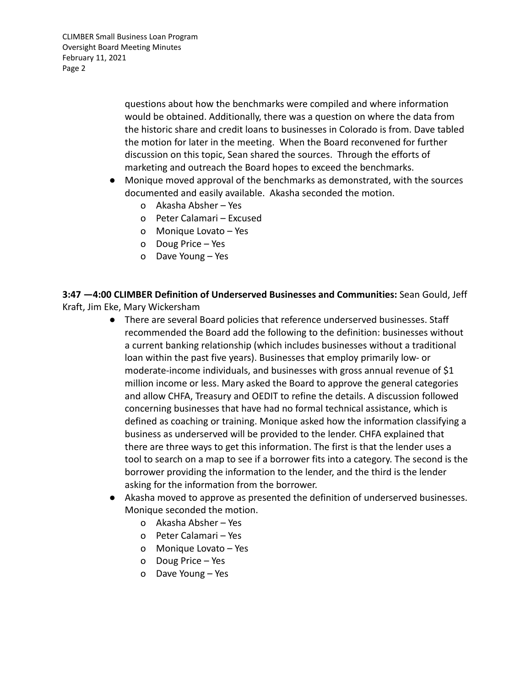CLIMBER Small Business Loan Program Oversight Board Meeting Minutes February 11, 2021 Page 2

> questions about how the benchmarks were compiled and where information would be obtained. Additionally, there was a question on where the data from the historic share and credit loans to businesses in Colorado is from. Dave tabled the motion for later in the meeting. When the Board reconvened for further discussion on this topic, Sean shared the sources. Through the efforts of marketing and outreach the Board hopes to exceed the benchmarks.

- Monique moved approval of the benchmarks as demonstrated, with the sources documented and easily available. Akasha seconded the motion.
	- o Akasha Absher Yes
	- o Peter Calamari Excused
	- o Monique Lovato Yes
	- o Doug Price Yes
	- o Dave Young Yes

**3:47 —4:00 CLIMBER Definition of Underserved Businesses and Communities:** Sean Gould, Jeff Kraft, Jim Eke, Mary Wickersham

- **●** There are several Board policies that reference underserved businesses. Staff recommended the Board add the following to the definition: businesses without a current banking relationship (which includes businesses without a traditional loan within the past five years). Businesses that employ primarily low- or moderate-income individuals, and businesses with gross annual revenue of \$1 million income or less. Mary asked the Board to approve the general categories and allow CHFA, Treasury and OEDIT to refine the details. A discussion followed concerning businesses that have had no formal technical assistance, which is defined as coaching or training. Monique asked how the information classifying a business as underserved will be provided to the lender. CHFA explained that there are three ways to get this information. The first is that the lender uses a tool to search on a map to see if a borrower fits into a category. The second is the borrower providing the information to the lender, and the third is the lender asking for the information from the borrower.
- **●** Akasha moved to approve as presented the definition of underserved businesses. Monique seconded the motion.
	- o Akasha Absher Yes
	- o Peter Calamari Yes
	- o Monique Lovato Yes
	- o Doug Price Yes
	- o Dave Young Yes